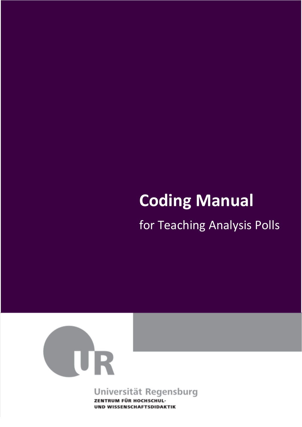# **Coding Manual**

for Teaching Analysis Polls



# Universität Regensburg

ZENTRUM FÜR HOCHSCHUL-**UND WISSENSCHAFTSDIDAKTIK**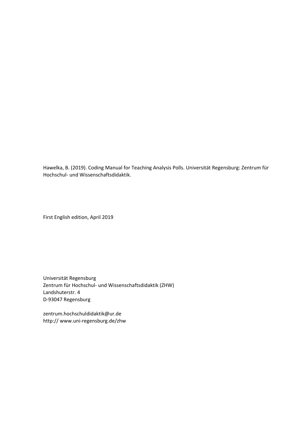Hawelka, B. (2019). Coding Manual for Teaching Analysis Polls. Universität Regensburg: Zentrum für Hochschul‐ und Wissenschaftsdidaktik.

First English edition, April 2019

Universität Regensburg Zentrum für Hochschul‐ und Wissenschaftsdidaktik (ZHW) Landshuterstr. 4 D‐93047 Regensburg

zentrum.hochschuldidaktik@ur.de http:// www.uni‐regensburg.de/zhw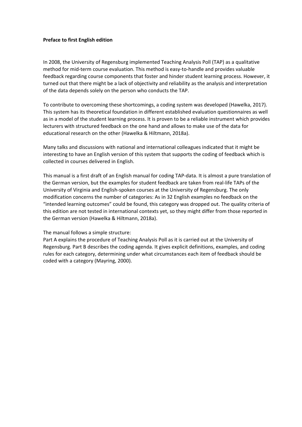#### **Preface to first English edition**

In 2008, the University of Regensburg implemented Teaching Analysis Poll (TAP) as a qualitative method for mid‐term course evaluation. This method is easy‐to‐handle and provides valuable feedback regarding course components that foster and hinder student learning process. However, it turned out that there might be a lack of objectivity and reliability as the analysis and interpretation of the data depends solely on the person who conducts the TAP.

To contribute to overcoming these shortcomings, a coding system was developed (Hawelka, 2017). This system has its theoretical foundation in different established evaluation questionnaires as well as in a model of the student learning process. It is proven to be a reliable instrument which provides lecturers with structured feedback on the one hand and allows to make use of the data for educational research on the other (Hawelka & Hiltmann, 2018a).

Many talks and discussions with national and international colleagues indicated that it might be interesting to have an English version of this system that supports the coding of feedback which is collected in courses delivered in English.

This manual is a first draft of an English manual for coding TAP‐data. It is almost a pure translation of the German version, but the examples for student feedback are taken from real‐life TAPs of the University of Virginia and English‐spoken courses at the University of Regensburg. The only modification concerns the number of categories: As in 32 English examples no feedback on the "intended learning outcomes" could be found, this category was dropped out. The quality criteria of this edition are not tested in international contexts yet, so they might differ from those reported in the German version (Hawelka & Hiltmann, 2018a).

#### The manual follows a simple structure:

Part A explains the procedure of Teaching Analysis Poll as it is carried out at the University of Regensburg. Part B describes the coding agenda. It gives explicit definitions, examples, and coding rules for each category, determining under what circumstances each item of feedback should be coded with a category (Mayring, 2000).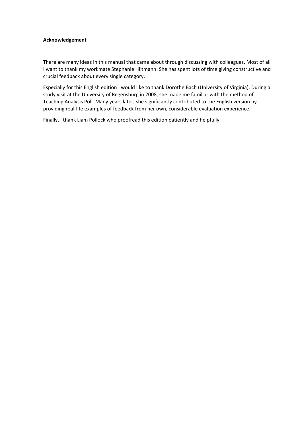#### **Acknowledgement**

There are many ideas in this manual that came about through discussing with colleagues. Most of all I want to thank my workmate Stephanie Hiltmann. She has spent lots of time giving constructive and crucial feedback about every single category.

Especially for this English edition I would like to thank Dorothe Bach (University of Virginia). During a study visit at the University of Regensburg in 2008, she made me familiar with the method of Teaching Analysis Poll. Many years later, she significantly contributed to the English version by providing real‐life examples of feedback from her own, considerable evaluation experience.

Finally, I thank Liam Pollock who proofread this edition patiently and helpfully.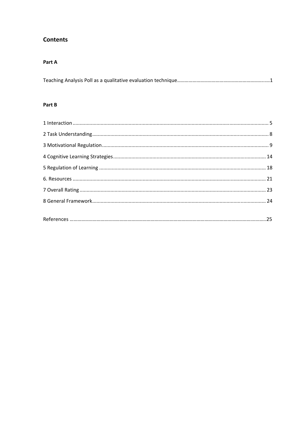## **Contents**

#### Part A

|--|

#### Part B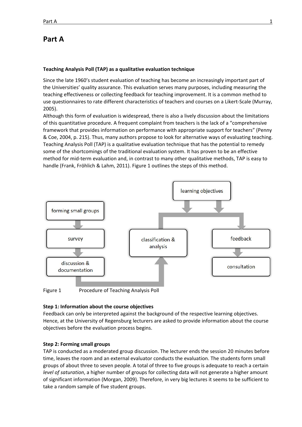### **Part A**

#### **Teaching Analysis Poll (TAP) as a qualitative evaluation technique**

Since the late 1960's student evaluation of teaching has become an increasingly important part of the Universities' quality assurance. This evaluation serves many purposes, including measuring the teaching effectiveness or collecting feedback for teaching improvement. It is a common method to use questionnaires to rate different characteristics of teachers and courses on a Likert‐Scale (Murray, 2005).

Although this form of evaluation is widespread, there is also a lively discussion about the limitations of this quantitative procedure. A frequent complaint from teachers is the lack of a "comprehensive framework that provides information on performance with appropriate support for teachers" (Penny & Coe, 2004, p. 215). Thus, many authors propose to look for alternative ways of evaluating teaching. Teaching Analysis Poll (TAP) is a qualitative evaluation technique that has the potential to remedy some of the shortcomings of the traditional evaluation system. It has proven to be an effective method for mid‐term evaluation and, in contrast to many other qualitative methods, TAP is easy to handle (Frank, Fröhlich & Lahm, 2011). Figure 1 outlines the steps of this method.



Figure 1 Procedure of Teaching Analysis Poll

#### **Step 1: Information about the course objectives**

Feedback can only be interpreted against the background of the respective learning objectives. Hence, at the University of Regensburg lecturers are asked to provide information about the course objectives before the evaluation process begins.

#### **Step 2: Forming small groups**

TAP is conducted as a moderated group discussion. The lecturer ends the session 20 minutes before time, leaves the room and an external evaluator conducts the evaluation. The students form small groups of about three to seven people. A total of three to five groups is adequate to reach a certain *level of saturation*, a higher number of groups for collecting data will not generate a higher amount of significant information (Morgan, 2009). Therefore, in very big lectures it seems to be sufficient to take a random sample of five student groups.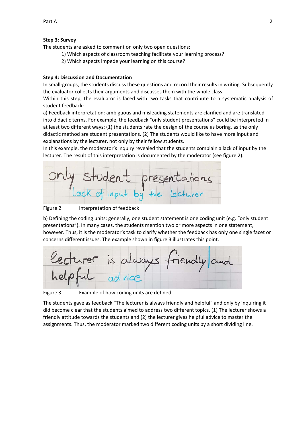#### **Step 3: Survey**

The students are asked to comment on only two open questions:

- 1) Which aspects of classroom teaching facilitate your learning process?
- 2) Which aspects impede your learning on this course?

#### **Step 4: Discussion and Documentation**

In small‐groups, the students discuss these questions and record their results in writing. Subsequently the evaluator collects their arguments and discusses them with the whole class.

Within this step, the evaluator is faced with two tasks that contribute to a systematic analysis of student feedback:

a) Feedback interpretation: ambiguous and misleading statements are clarified and are translated into didactic terms. For example, the feedback "only student presentations" could be interpreted in at least two different ways: (1) the students rate the design of the course as boring, as the only didactic method are student presentations. (2) The students would like to have more input and explanations by the lecturer, not only by their fellow students.

In this example, the moderator's inquiry revealed that the students complain a lack of input by the lecturer. The result of this interpretation is documented by the moderator (see figure 2).



Figure 2 **Interpretation of feedback** 

b) Defining the coding units: generally, one student statement is one coding unit (e.g. "only student presentations"). In many cases, the students mention two or more aspects in one statement, however. Thus, it is the moderator's task to clarify whether the feedback has only one single facet or concerns different issues. The example shown in figure 3 illustrates this point.

arer is always

Figure 3 Example of how coding units are defined

The students gave as feedback "The lecturer is always friendly and helpful" and only by inquiring it did become clear that the students aimed to address two different topics. (1) The lecturer shows a friendly attitude towards the students and (2) the lecturer gives helpful advice to master the assignments. Thus, the moderator marked two different coding units by a short dividing line.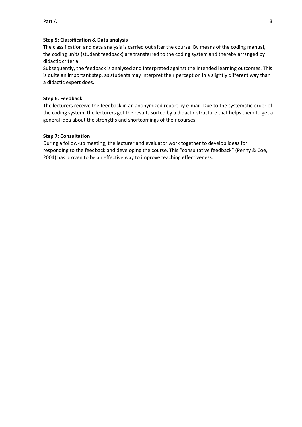#### **Step 5: Classification & Data analysis**

The classification and data analysis is carried out after the course. By means of the coding manual, the coding units (student feedback) are transferred to the coding system and thereby arranged by didactic criteria.

Subsequently, the feedback is analysed and interpreted against the intended learning outcomes. This is quite an important step, as students may interpret their perception in a slightly different way than a didactic expert does.

#### **Step 6: Feedback**

The lecturers receive the feedback in an anonymized report by e‐mail. Due to the systematic order of the coding system, the lecturers get the results sorted by a didactic structure that helps them to get a general idea about the strengths and shortcomings of their courses.

#### **Step 7: Consultation**

During a follow‐up meeting, the lecturer and evaluator work together to develop ideas for responding to the feedback and developing the course. This "consultative feedback" (Penny & Coe, 2004) has proven to be an effective way to improve teaching effectiveness.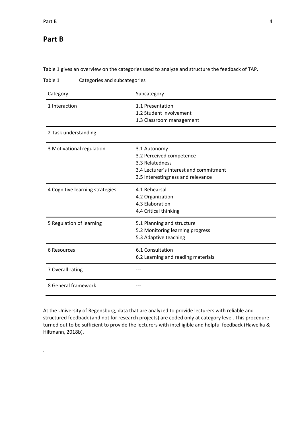.

Table 1 gives an overview on the categories used to analyze and structure the feedback of TAP.

Table 1 Categories and subcategories

| Category                        | Subcategory                                                                                                                                |
|---------------------------------|--------------------------------------------------------------------------------------------------------------------------------------------|
| 1 Interaction                   | 1.1 Presentation<br>1.2 Student involvement<br>1.3 Classroom management                                                                    |
| 2 Task understanding            |                                                                                                                                            |
| 3 Motivational regulation       | 3.1 Autonomy<br>3.2 Perceived competence<br>3.3 Relatedness<br>3.4 Lecturer's interest and commitment<br>3.5 Interestingness and relevance |
| 4 Cognitive learning strategies | 4.1 Rehearsal<br>4.2 Organization<br>4.3 Elaboration<br>4.4 Critical thinking                                                              |
| 5 Regulation of learning        | 5.1 Planning and structure<br>5.2 Monitoring learning progress<br>5.3 Adaptive teaching                                                    |
| 6 Resources                     | 6.1 Consultation<br>6.2 Learning and reading materials                                                                                     |
| 7 Overall rating                |                                                                                                                                            |
| 8 General framework             |                                                                                                                                            |

At the University of Regensburg, data that are analyzed to provide lecturers with reliable and structured feedback (and not for research projects) are coded only at category level. This procedure turned out to be sufficient to provide the lecturers with intelligible and helpful feedback (Hawelka & Hiltmann, 2018b).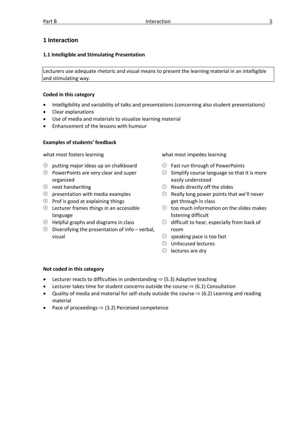#### **1 Interaction**

#### **1.1 Intelligible and Stimulating Presentation**

Lecturers use adequate rhetoric and visual means to present the learning material in an intelligible and stimulating way.

#### **Coded in this category**

- Intelligibility and variability of talks and presentations (concerning also student presentations)
- Clear explanations
- Use of media and materials to visualize learning material
- Enhancement of the lessons with humour

#### **Examples of students' feedback**

- $\Theta$  putting major ideas up on chalkboard
- $\Theta$  PowerPoints are very clear and super organized
- $\oplus$  neat handwriting
- $\oplus$  presentation with media examples
- $\Theta$  Prof is good at explaining things
- $\Theta$  Lecturer frames things in an accessible language
- $\Theta$  Helpful graphs and diagrams in class
- $\Theta$  Diversifying the presentation of info verbal, visual

what most fosters learning what most impedes learning

- $\Theta$  Fast run through of PowerPoints
- $\Theta$  Simplify course language so that it is more easily understood
- $\Theta$  Reads directly off the slides
- $\Theta$  Really long power points that we'll never get through in class
- $\Theta$  too much information on the slides makes listening difficult
- $\Theta$  difficult to hear, especially from back of room
- $\Theta$  speaking pace is too fast
- $\Theta$  Unfocused lectures
- $\Theta$  lectures are dry

- Lecturer reacts to difficulties in understanding  $\Rightarrow$  (5.3) Adaptive teaching
- Lecturer takes time for student concerns outside the course  $\Rightarrow$  (6.1) Consultation
- Quality of media and material for self-study outside the course  $\Rightarrow$  (6.2) Learning and reading material
- Pace of proceedings  $\Rightarrow$  (3.2) Perceived competence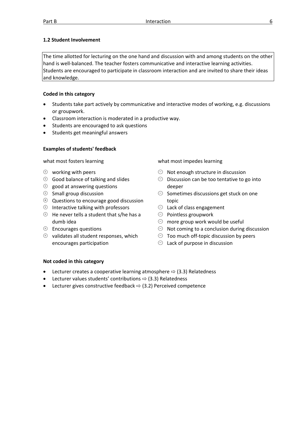#### **1.2 Student Involvement**

The time allotted for lecturing on the one hand and discussion with and among students on the other hand is well-balanced. The teacher fosters communicative and interactive learning activities. Students are encouraged to participate in classroom interaction and are invited to share their ideas and knowledge.

#### **Coded in this category**

- Students take part actively by communicative and interactive modes of working, e.g. discussions or groupwork.
- Classroom interaction is moderated in a productive way.
- Students are encouraged to ask questions
- Students get meaningful answers

#### **Examples of students' feedback**

- $\oplus$  working with peers
- $\Theta$  Good balance of talking and slides
- $\Theta$  good at answering questions
- $\oplus$  Small group discussion
- $\Theta$  Questions to encourage good discussion
- $\Theta$  Interactive talking with professors
- $\Theta$  He never tells a student that s/he has a dumb idea
- $\oplus$  Encourages questions
- $\Theta$  validates all student responses, which encourages participation

what most fosters learning what most impedes learning

- $\Theta$  Not enough structure in discussion
- $\Theta$  Discussion can be too tentative to go into deeper
- $\Theta$  Sometimes discussions get stuck on one topic
- $\Theta$  Lack of class engagement
- $\Theta$  Pointless groupwork
- $\Theta$  more group work would be useful
- $\Theta$  Not coming to a conclusion during discussion
- $\Theta$  Too much off-topic discussion by peers
- $\Theta$  Lack of purpose in discussion

- Lecturer creates a cooperative learning atmosphere  $\Rightarrow$  (3.3) Relatedness
- Lecturer values students' contributions  $\Rightarrow$  (3.3) Relatedness
- Lecturer gives constructive feedback  $\Rightarrow$  (3.2) Perceived competence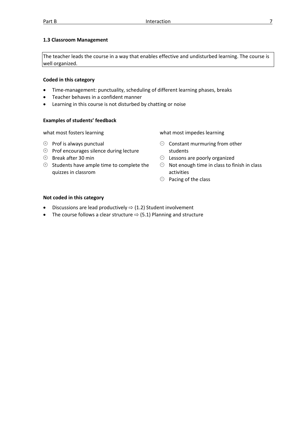#### **1.3 Classroom Management**

The teacher leads the course in a way that enables effective and undisturbed learning. The course is well organized.

#### **Coded in this category**

- Time‐management: punctuality, scheduling of different learning phases, breaks
- Teacher behaves in a confident manner
- Learning in this course is not disturbed by chatting or noise

#### **Examples of students' feedback**

- $\Theta$  Prof is always punctual
- $\Theta$  Prof encourages silence during lecture
- $\oplus$  Break after 30 min
- $\Theta$  Students have ample time to complete the quizzes in classrom

what most fosters learning what most impedes learning

- $\Theta$  Constant murmuring from other students
- $\Theta$  Lessons are poorly organized
- $\Theta$  Not enough time in class to finish in class activities
- $\Theta$  Pacing of the class

- Discussions are lead productively  $\Rightarrow$  (1.2) Student involvement
- The course follows a clear structure  $\Rightarrow$  (5.1) Planning and structure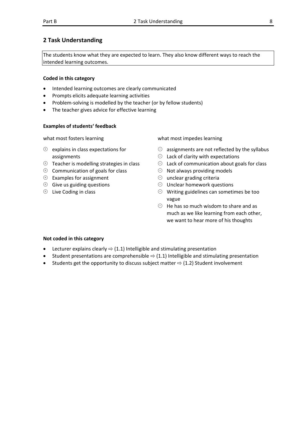#### **2 Task Understanding**

The students know what they are expected to learn. They also know different ways to reach the intended learning outcomes.

#### **Coded in this category**

- Intended learning outcomes are clearly communicated
- Prompts elicits adequate learning activities
- Problem‐solving is modelled by the teacher (or by fellow students)
- The teacher gives advice for effective learning

#### **Examples of students' feedback**

- $\Theta$  explains in class expectations for assignments
- $\Theta$  Teacher is modelling strategies in class
- $\Theta$  Communication of goals for class
- $\Theta$  Examples for assignment
- $\Theta$  Give us guiding questions
- $\Theta$  Live Coding in class

what most fosters learning what most impedes learning

- $\Theta$  assignments are not reflected by the syllabus
- $\Theta$  Lack of clarity with expectations
- $\Theta$  Lack of communication about goals for class
- $\Theta$  Not always providing models
- $\Theta$  unclear grading criteria
- $\Theta$  Unclear homework questions
- Writing guidelines can sometimes be too vague
- $\Theta$  He has so much wisdom to share and as much as we like learning from each other, we want to hear more of his thoughts

- Lecturer explains clearly  $\Rightarrow$  (1.1) Intelligible and stimulating presentation
- Student presentations are comprehensible  $\Rightarrow$  (1.1) Intelligible and stimulating presentation
- Students get the opportunity to discuss subject matter  $\Rightarrow$  (1.2) Student involvement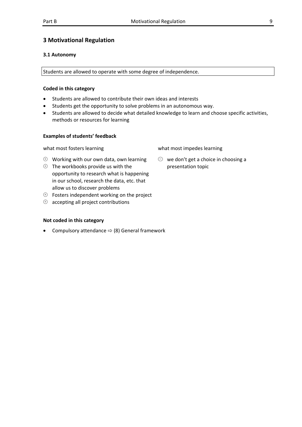#### **3 Motivational Regulation**

#### **3.1 Autonomy**

Students are allowed to operate with some degree of independence.

#### **Coded in this category**

- Students are allowed to contribute their own ideas and interests
- Students get the opportunity to solve problems in an autonomous way.
- Students are allowed to decide what detailed knowledge to learn and choose specific activities, methods or resources for learning

#### **Examples of students' feedback**

what most fosters learning what most impedes learning

- $\Theta$  Working with our own data, own learning
- $\Theta$  The workbooks provide us with the opportunity to research what is happening in our school, research the data, etc. that allow us to discover problems
- $\Theta$  Fosters independent working on the project
- $\Theta$  accepting all project contributions

#### **Not coded in this category**

Compulsory attendance  $\Rightarrow$  (8) General framework

 $\Theta$  we don't get a choice in choosing a presentation topic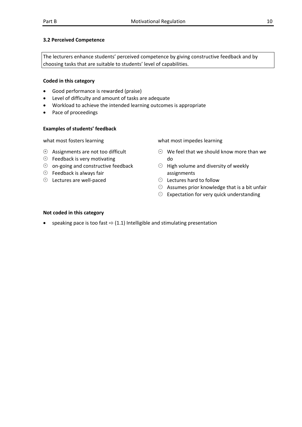#### **3.2 Perceived Competence**

The lecturers enhance students' perceived competence by giving constructive feedback and by choosing tasks that are suitable to students' level of capabilities.

#### **Coded in this category**

- Good performance is rewarded (praise)
- Level of difficulty and amount of tasks are adequate
- Workload to achieve the intended learning outcomes is appropriate
- Pace of proceedings

#### **Examples of students' feedback**

- $\Theta$  Assignments are not too difficult
- $\Theta$  Feedback is very motivating
- $\Theta$  on-going and constructive feedback
- $\oplus$  Feedback is always fair
- $\oplus$  Lectures are well-paced

what most fosters learning what most impedes learning

- $\Theta$  We feel that we should know more than we do
- $\Theta$  High volume and diversity of weekly assignments
- $\Theta$  Lectures hard to follow
- $\Theta$  Assumes prior knowledge that is a bit unfair
- $\Theta$  Expectation for very quick understanding

#### **Not coded in this category**

speaking pace is too fast  $\Rightarrow$  (1.1) Intelligible and stimulating presentation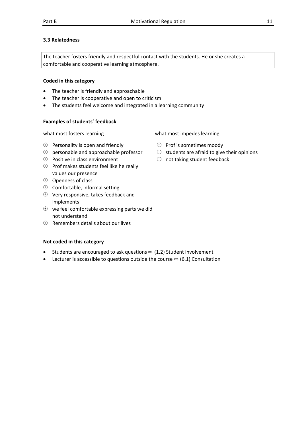#### **3.3 Relatedness**

The teacher fosters friendly and respectful contact with the students. He or she creates a comfortable and cooperative learning atmosphere.

#### **Coded in this category**

- The teacher is friendly and approachable
- The teacher is cooperative and open to criticism
- The students feel welcome and integrated in a learning community

#### **Examples of students' feedback**

- $\Theta$  Personality is open and friendly
- $\Theta$  personable and approachable professor
- $\Theta$  Positive in class environment
- $\Theta$  Prof makes students feel like he really values our presence
- $\Theta$  Openness of class
- $\oplus$  Comfortable, informal setting
- $\oplus$  Very responsive, takes feedback and implements
- $\Theta$  we feel comfortable expressing parts we did not understand
- $\Theta$  Remembers details about our lives

#### **Not coded in this category**

- Students are encouraged to ask questions  $\Rightarrow$  (1.2) Student involvement
- Lecturer is accessible to questions outside the course  $\Rightarrow$  (6.1) Consultation

what most fosters learning what most impedes learning

- $\Theta$  Prof is sometimes moody
- $\Theta$  students are afraid to give their opinions
- $\Theta$  not taking student feedback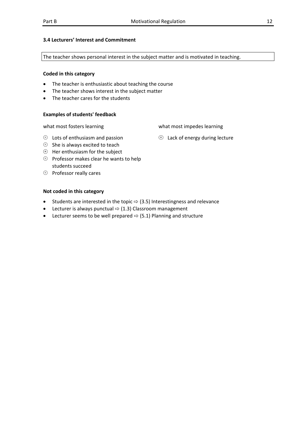#### **3.4 Lecturers' Interest and Commitment**

The teacher shows personal interest in the subject matter and is motivated in teaching.

#### **Coded in this category**

- The teacher is enthusiastic about teaching the course
- The teacher shows interest in the subject matter
- The teacher cares for the students

#### **Examples of students' feedback**

what most fosters learning what most impedes learning

- $\Theta$  Lots of enthusiasm and passion
- $\Theta$  She is always excited to teach
- $\Theta$  Her enthusiasm for the subject
- $\Theta$  Professor makes clear he wants to help students succeed
- $\oplus$  Professor really cares

#### **Not coded in this category**

- Students are interested in the topic  $\Rightarrow$  (3.5) Interestingness and relevance
- Lecturer is always punctual  $\Rightarrow$  (1.3) Classroom management
- Lecturer seems to be well prepared  $\Rightarrow$  (5.1) Planning and structure

 $\oplus$  Lack of energy during lecture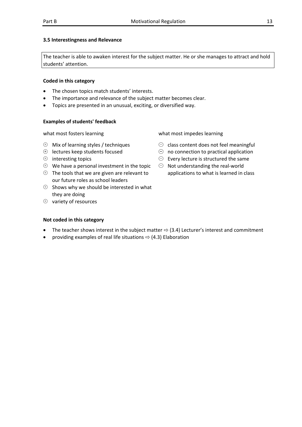#### **3.5 Interestingness and Relevance**

The teacher is able to awaken interest for the subject matter. He or she manages to attract and hold students' attention.

#### **Coded in this category**

- The chosen topics match students' interests.
- The importance and relevance of the subject matter becomes clear.
- Topics are presented in an unusual, exciting, or diversified way.

#### **Examples of students' feedback**

- $\oplus$  Mix of learning styles / techniques
- $\Theta$  lectures keep students focused
- $\Theta$  interesting topics
- $\Theta$  We have a personal investment in the topic
- $\Theta$  The tools that we are given are relevant to our future roles as school leaders
- $\Theta$  Shows why we should be interested in what they are doing
- $\oplus$  variety of resources

what most fosters learning  $\qquad \qquad$  what most impedes learning

- $\Theta$  class content does not feel meaningful
- $\Theta$  no connection to practical application
- $\Theta$  Every lecture is structured the same
- $\Theta$  Not understanding the real-world applications to what is learned in class

- The teacher shows interest in the subject matter  $\Rightarrow$  (3.4) Lecturer's interest and commitment
- providing examples of real life situations  $\Rightarrow$  (4.3) Elaboration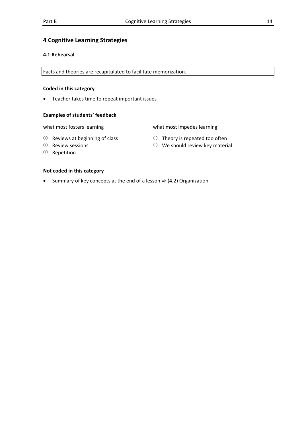#### **4 Cognitive Learning Strategies**

#### **4.1 Rehearsal**

Facts and theories are recapitulated to facilitate memorization.

#### **Coded in this category**

Teacher takes time to repeat important issues

#### **Examples of students' feedback**

what most fosters learning what most impedes learning

 $\Theta$  Theory is repeated too often  $\Theta$  We should review key material

- $\Theta$  Reviews at beginning of class
- $\Theta$  Review sessions
- $\oplus$  Repetition

#### **Not coded in this category**

Summary of key concepts at the end of a lesson  $\Rightarrow$  (4.2) Organization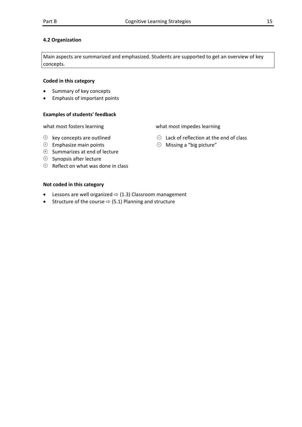#### **4.2 Organization**

Main aspects are summarized and emphasized. Students are supported to get an overview of key concepts.

#### **Coded in this category**

- Summary of key concepts
- Emphasis of important points

#### **Examples of students' feedback**

- $\oplus$  key concepts are outlined
- $\oplus$  Emphasize main points
- $\Theta$  Summarizes at end of lecture
- $\oplus$  Synopsis after lecture
- $\Theta$  Reflect on what was done in class

#### **Not coded in this category**

- Lessons are well organized  $\Rightarrow$  (1.3) Classroom management
- Structure of the course  $\Rightarrow$  (5.1) Planning and structure

what most fosters learning what most impedes learning

- $\Theta$  Lack of reflection at the end of class
- $\Theta$  Missing a "big picture"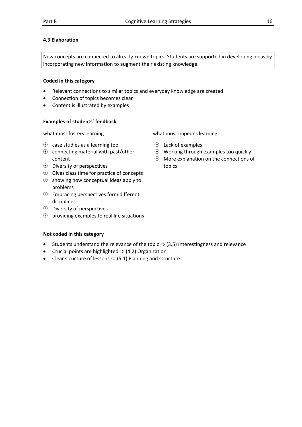#### **4.3 Elaboration**

New concepts are connected to already known topics. Students are supported in developing ideas by incorporating new information to augment their existing knowledge.

#### **Coded in this category**

- Relevant connections to similar topics and everyday knowledge are created
- Connection of topics becomes clear
- Content is illustrated by examples

#### **Examples of students' feedback**

- $\Theta$  case studies as a learning tool
- $\Theta$  connecting material with past/other content
- $\oplus$  Diversity of perspectives
- $\Theta$  Gives class time for practice of concepts
- $\Theta$  showing how conceptual ideas apply to problems
- $\Theta$  Embracing perspectives form different disciplines
- $\oplus$  Diversity of perspectives
- $\Theta$  providing examples to real life situations

#### **Not coded in this category**

- Students understand the relevance of the topic  $\Rightarrow$  (3.5) Interestingness and relevance
- Crucial points are highlighted  $\Rightarrow$  (4.2) Organization
- Clear structure of lessons  $\Rightarrow$  (5.1) Planning and structure

what most fosters learning what most impedes learning

- $\Theta$  Lack of examples
- $\Theta$  Working through examples too quickly
- $\Theta$  More explanation on the connections of topics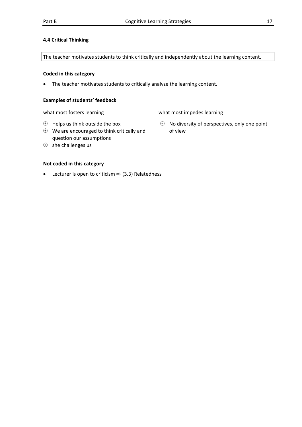#### **4.4 Critical Thinking**

The teacher motivates students to think critically and independently about the learning content.

#### **Coded in this category**

The teacher motivates students to critically analyze the learning content.

#### **Examples of students' feedback**

what most fosters learning what most impedes learning

 $\Theta$  Helps us think outside the box

- $\Theta$  We are encouraged to think critically and question our assumptions
- $\Theta$  she challenges us

- Lecturer is open to criticism  $\Rightarrow$  (3.3) Relatedness
- $\Theta$  No diversity of perspectives, only one point of view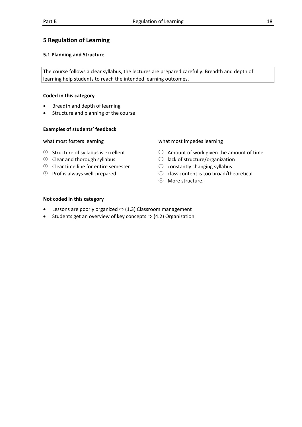#### **5 Regulation of Learning**

#### **5.1 Planning and Structure**

The course follows a clear syllabus, the lectures are prepared carefully. Breadth and depth of learning help students to reach the intended learning outcomes.

#### **Coded in this category**

- Breadth and depth of learning
- Structure and planning of the course

#### **Examples of students' feedback**

- $\Theta$  Structure of syllabus is excellent
- $\oplus$  Clear and thorough syllabus
- $\Theta$  Clear time line for entire semester
- $\Theta$  Prof is always well-prepared

what most fosters learning what most impedes learning

- $\Theta$  Amount of work given the amount of time
- $\Theta$  lack of structure/organization
- $\Theta$  constantly changing syllabus
- $\Theta$  class content is too broad/theoretical
- $\odot$  More structure.

- Lessons are poorly organized  $\Rightarrow$  (1.3) Classroom management
- Students get an overview of key concepts  $\Rightarrow$  (4.2) Organization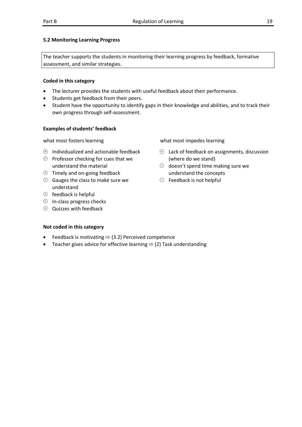#### **5.2 Monitoring Learning Progress**

The teacher supports the students in monitoring their learning progress by feedback, formative assessment, and similar strategies.

#### **Coded in this category**

- The lecturer provides the students with useful feedback about their performance.
- Students get feedback from their peers.
- Student have the opportunity to identify gaps in their knowledge and abilities, and to track their own progress through self‐assessment.

#### **Examples of students' feedback**

- $\Theta$  Individualized and actionable feedback
- $\Theta$  Professor checking for cues that we understand the material
- $\Theta$  Timely and on-going feedback
- $\Theta$  Gauges the class to make sure we understand
- $\Theta$  feedback is helpful
- $\Theta$  In-class progress checks
- $\oplus$  Quizzes with feedback

what most fosters learning what most impedes learning

- $\Theta$  Lack of feedback on assignments, discussion (where do we stand)
- $\Theta$  doesn't spend time making sure we understand the concepts
- $\Theta$  Feedback is not helpful

- Feedback is motivating  $\Rightarrow$  (3.2) Perceived competence
- Teacher gives advice for effective learning  $\Rightarrow$  (2) Task understanding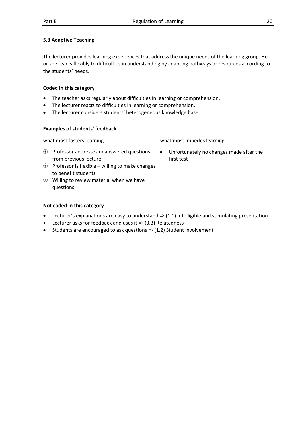#### **5.3 Adaptive Teaching**

The lecturer provides learning experiences that address the unique needs of the learning group. He or she reacts flexibly to difficulties in understanding by adapting pathways or resources according to the students' needs.

#### **Coded in this category**

- The teacher asks regularly about difficulties in learning or comprehension.
- The lecturer reacts to difficulties in learning or comprehension.
- The lecturer considers students' heterogeneous knowledge base.

#### **Examples of students' feedback**

what most fosters learning what most impedes learning

first test

Unfortunately no changes made after the

- $\Theta$  Professor addresses unanswered questions from previous lecture
- $\Theta$  Professor is flexible willing to make changes to benefit students
- $\Theta$  Willing to review material when we have questions

- Lecturer's explanations are easy to understand  $\Rightarrow$  (1.1) Intelligible and stimulating presentation
- Lecturer asks for feedback and uses it  $\Rightarrow$  (3.3) Relatedness
- Students are encouraged to ask questions  $\Rightarrow$  (1.2) Student involvement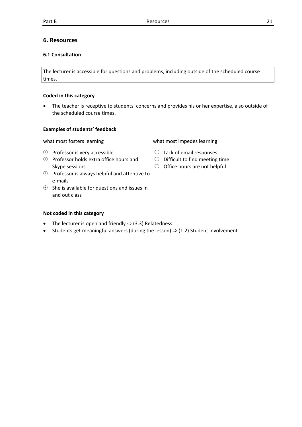#### **6. Resources**

#### **6.1 Consultation**

The lecturer is accessible for questions and problems, including outside of the scheduled course times.

#### **Coded in this category**

 The teacher is receptive to students' concerns and provides his or her expertise, also outside of the scheduled course times.

#### **Examples of students' feedback**

what most fosters learning what most impedes learning

- $\oplus$  Professor is very accessible
- $\oplus$  Professor holds extra office hours and Skype sessions
- $\Theta$  Professor is always helpful and attentive to e‐mails
- $\Theta$  She is available for questions and issues in and out class

- The lecturer is open and friendly  $\Rightarrow$  (3.3) Relatedness
- Students get meaningful answers (during the lesson)  $\Rightarrow$  (1.2) Student involvement

- $\Theta$  Lack of email responses
- $\Theta$  Difficult to find meeting time
- $\Theta$  Office hours are not helpful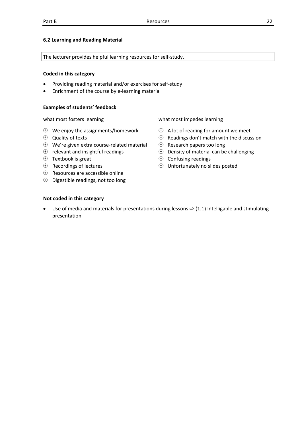#### **6.2 Learning and Reading Material**

The lecturer provides helpful learning resources for self‐study.

#### **Coded in this category**

- Providing reading material and/or exercises for self‐study
- Enrichment of the course by e‐learning material

#### **Examples of students' feedback**

- $\Theta$  We enjoy the assignments/homework
- $\Theta$  Quality of texts
- We're given extra course‐related material
- $\Theta$  relevant and insightful readings
- $\Theta$  Textbook is great
- $\oplus$  Recordings of lectures
- $\Theta$  Resources are accessible online
- $\Theta$  Digestible readings, not too long

what most fosters learning what most impedes learning

- $\Theta$  A lot of reading for amount we meet
- $\Theta$  Readings don't match with the discussion
- $\Theta$  Research papers too long
- $\Theta$  Density of material can be challenging
- $\odot$  Confusing readings
- $\Theta$  Unfortunately no slides posted

#### **Not coded in this category**

Use of media and materials for presentations during lessons  $\Rightarrow$  (1.1) Intelligable and stimulating presentation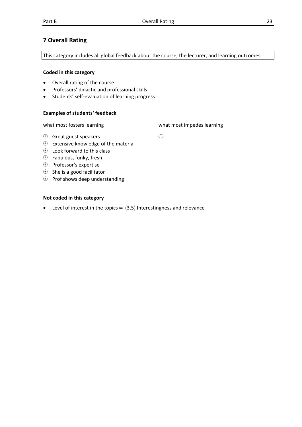#### **7 Overall Rating**

This category includes all global feedback about the course, the lecturer, and learning outcomes.

#### **Coded in this category**

- Overall rating of the course
- Professors' didactic and professional skills
- Students' self‐evaluation of learning progress

#### **Examples of students' feedback**

what most fosters learning what most impedes learning

 $\ominus$  ---

- $\oplus$  Great guest speakers
- $\Theta$  Extensive knowledge of the material
- $\Theta$  Look forward to this class
- $\oplus$  Fabulous, funky, fresh
- $\oplus$  Professor's expertise
- $\Theta$  She is a good facilitator
- $\Theta$  Prof shows deep understanding

#### **Not coded in this category**

• Level of interest in the topics  $\Rightarrow$  (3.5) Interestingness and relevance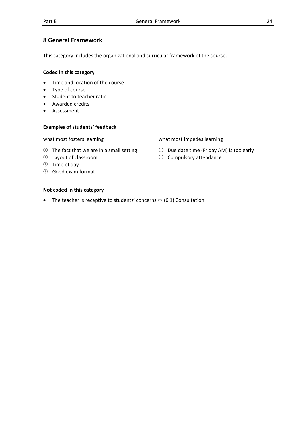#### **8 General Framework**

This category includes the organizational and curricular framework of the course.

#### **Coded in this category**

- Time and location of the course
- Type of course
- Student to teacher ratio
- Awarded credits
- Assessment

#### **Examples of students' feedback**

what most fosters learning what most impedes learning

- $\Theta$  The fact that we are in a small setting
- $\Theta$  Layout of classroom
- $\oplus$  Time of day
- $\Theta$  Good exam format

#### **Not coded in this category**

• The teacher is receptive to students' concerns  $\Rightarrow$  (6.1) Consultation

- 
- $\Theta$  Due date time (Friday AM) is too early
- $\odot$  Compulsory attendance